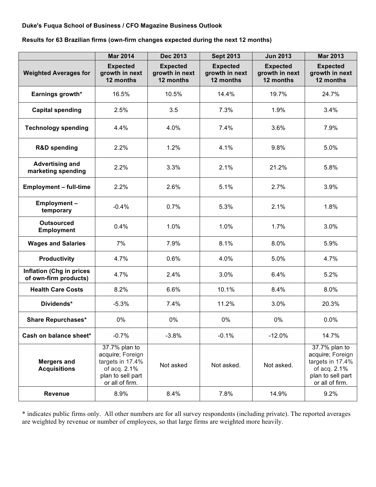## **Duke's Fuqua School of Business / CFO Magazine Business Outlook**

**Results for 63 Brazilian firms (own-firm changes expected during the next 12 months)**

|                                                          | <b>Mar 2014</b>                                                                                               | <b>Dec 2013</b>                                | <b>Sept 2013</b>                               | <b>Jun 2013</b>                                | <b>Mar 2013</b>                                                                                               |
|----------------------------------------------------------|---------------------------------------------------------------------------------------------------------------|------------------------------------------------|------------------------------------------------|------------------------------------------------|---------------------------------------------------------------------------------------------------------------|
| <b>Weighted Averages for</b>                             | <b>Expected</b><br>growth in next<br>12 months                                                                | <b>Expected</b><br>growth in next<br>12 months | <b>Expected</b><br>growth in next<br>12 months | <b>Expected</b><br>growth in next<br>12 months | <b>Expected</b><br>growth in next<br>12 months                                                                |
| Earnings growth*                                         | 16.5%                                                                                                         | 10.5%                                          | 14.4%                                          | 19.7%                                          | 24.7%                                                                                                         |
| <b>Capital spending</b>                                  | 2.5%                                                                                                          | 3.5                                            | 7.3%                                           | 1.9%                                           | 3.4%                                                                                                          |
| <b>Technology spending</b>                               | 4.4%                                                                                                          | 4.0%                                           | 7.4%                                           | 3.6%                                           | 7.9%                                                                                                          |
| <b>R&amp;D spending</b>                                  | 2.2%                                                                                                          | 1.2%                                           | 4.1%                                           | 9.8%                                           | 5.0%                                                                                                          |
| <b>Advertising and</b><br>marketing spending             | 2.2%                                                                                                          | 3.3%                                           | 2.1%                                           | 21.2%                                          | 5.8%                                                                                                          |
| <b>Employment - full-time</b>                            | 2.2%                                                                                                          | 2.6%                                           | 5.1%                                           | 2.7%                                           | 3.9%                                                                                                          |
| Employment-<br>temporary                                 | $-0.4%$                                                                                                       | 0.7%                                           | 5.3%                                           | 2.1%                                           | 1.8%                                                                                                          |
| <b>Outsourced</b><br><b>Employment</b>                   | 0.4%                                                                                                          | 1.0%                                           | 1.0%                                           | 1.7%                                           | 3.0%                                                                                                          |
| <b>Wages and Salaries</b>                                | 7%                                                                                                            | 7.9%                                           | 8.1%                                           | 8.0%                                           | 5.9%                                                                                                          |
| <b>Productivity</b>                                      | 4.7%                                                                                                          | 0.6%                                           | 4.0%                                           | 5.0%                                           | 4.7%                                                                                                          |
| <b>Inflation (Chg in prices</b><br>of own-firm products) | 4.7%                                                                                                          | 2.4%                                           | 3.0%                                           | 6.4%                                           | 5.2%                                                                                                          |
| <b>Health Care Costs</b>                                 | 8.2%                                                                                                          | 6.6%                                           | 10.1%                                          | 8.4%                                           | 8.0%                                                                                                          |
| Dividends*                                               | $-5.3%$                                                                                                       | 7.4%                                           | 11.2%                                          | 3.0%                                           | 20.3%                                                                                                         |
| <b>Share Repurchases*</b>                                | 0%                                                                                                            | 0%                                             | 0%                                             | $0\%$                                          | 0.0%                                                                                                          |
| Cash on balance sheet*                                   | $-0.7%$                                                                                                       | $-3.8%$                                        | $-0.1%$                                        | $-12.0%$                                       | 14.7%                                                                                                         |
| <b>Mergers and</b><br><b>Acquisitions</b>                | 37.7% plan to<br>acquire; Foreign<br>targets in 17.4%<br>of acq. 2.1%<br>plan to sell part<br>or all of firm. | Not asked                                      | Not asked.                                     | Not asked.                                     | 37.7% plan to<br>acquire; Foreign<br>targets in 17.4%<br>of acq. 2.1%<br>plan to sell part<br>or all of firm. |
| <b>Revenue</b>                                           | 8.9%                                                                                                          | 8.4%                                           | 7.8%                                           | 14.9%                                          | 9.2%                                                                                                          |

\* indicates public firms only. All other numbers are for all survey respondents (including private). The reported averages are weighted by revenue or number of employees, so that large firms are weighted more heavily.